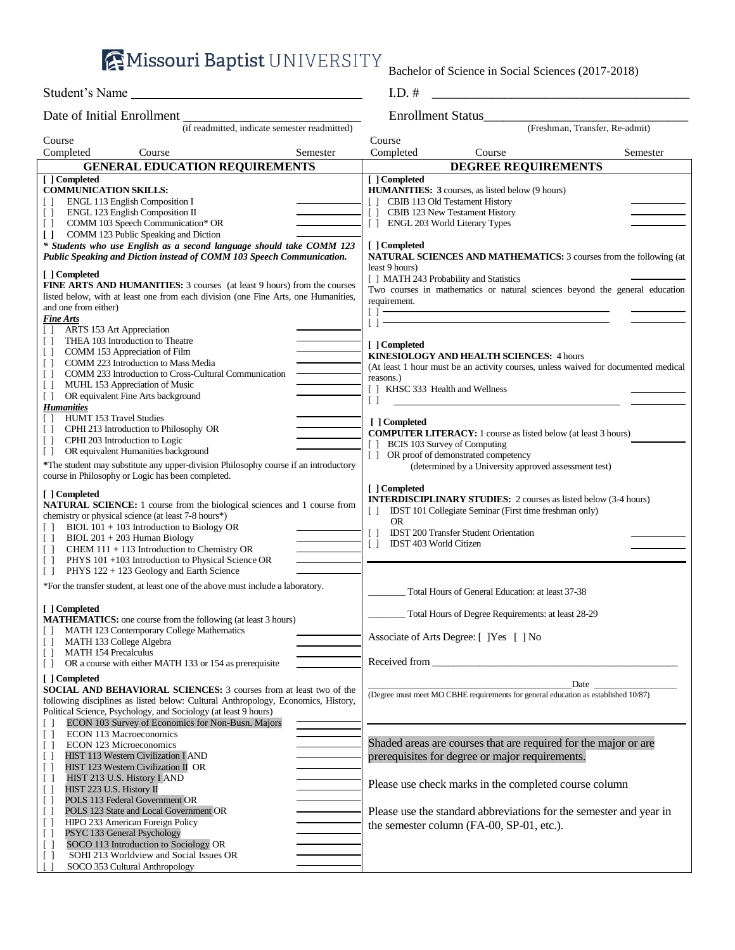**AMissouri Baptist UNIVERSITY** 

[ ] SOCO 113 Introduction to Sociology OR [ ] SOHI 213 Worldview and Social Issues OR SOCO 353 Cultural Anthropology

Bachelor of Science in Social Sciences (2017-2018)

| Student's Name                                                                                                                                                                                                                                                                                                                                                                          | $I.D.$ #                                                                                                                                                                                                                                                                                                                                                                                                                                                                                                                                                                                                                                                                                                                                                                                                                                                                                                                                                                                                                                                                                                                                                                                                                                                                                                                                                                                                                                                                                                                                                                                                                                                                                                                                                                                                      |  |  |
|-----------------------------------------------------------------------------------------------------------------------------------------------------------------------------------------------------------------------------------------------------------------------------------------------------------------------------------------------------------------------------------------|---------------------------------------------------------------------------------------------------------------------------------------------------------------------------------------------------------------------------------------------------------------------------------------------------------------------------------------------------------------------------------------------------------------------------------------------------------------------------------------------------------------------------------------------------------------------------------------------------------------------------------------------------------------------------------------------------------------------------------------------------------------------------------------------------------------------------------------------------------------------------------------------------------------------------------------------------------------------------------------------------------------------------------------------------------------------------------------------------------------------------------------------------------------------------------------------------------------------------------------------------------------------------------------------------------------------------------------------------------------------------------------------------------------------------------------------------------------------------------------------------------------------------------------------------------------------------------------------------------------------------------------------------------------------------------------------------------------------------------------------------------------------------------------------------------------|--|--|
| Date of Initial Enrollment                                                                                                                                                                                                                                                                                                                                                              | <b>Enrollment Status</b>                                                                                                                                                                                                                                                                                                                                                                                                                                                                                                                                                                                                                                                                                                                                                                                                                                                                                                                                                                                                                                                                                                                                                                                                                                                                                                                                                                                                                                                                                                                                                                                                                                                                                                                                                                                      |  |  |
| Course                                                                                                                                                                                                                                                                                                                                                                                  |                                                                                                                                                                                                                                                                                                                                                                                                                                                                                                                                                                                                                                                                                                                                                                                                                                                                                                                                                                                                                                                                                                                                                                                                                                                                                                                                                                                                                                                                                                                                                                                                                                                                                                                                                                                                               |  |  |
| Completed                                                                                                                                                                                                                                                                                                                                                                               |                                                                                                                                                                                                                                                                                                                                                                                                                                                                                                                                                                                                                                                                                                                                                                                                                                                                                                                                                                                                                                                                                                                                                                                                                                                                                                                                                                                                                                                                                                                                                                                                                                                                                                                                                                                                               |  |  |
|                                                                                                                                                                                                                                                                                                                                                                                         |                                                                                                                                                                                                                                                                                                                                                                                                                                                                                                                                                                                                                                                                                                                                                                                                                                                                                                                                                                                                                                                                                                                                                                                                                                                                                                                                                                                                                                                                                                                                                                                                                                                                                                                                                                                                               |  |  |
| [ ] Completed<br><b>COMMUNICATION SKILLS:</b><br>$\Box$                                                                                                                                                                                                                                                                                                                                 | [ ] Completed<br><b>HUMANITIES:</b> 3 courses, as listed below (9 hours)                                                                                                                                                                                                                                                                                                                                                                                                                                                                                                                                                                                                                                                                                                                                                                                                                                                                                                                                                                                                                                                                                                                                                                                                                                                                                                                                                                                                                                                                                                                                                                                                                                                                                                                                      |  |  |
| ENGL 123 English Composition II<br>$\Box$<br>COMM 103 Speech Communication* OR<br>$\Box$<br>COMM 123 Public Speaking and Diction<br>$\Box$                                                                                                                                                                                                                                              | [] CBIB 123 New Testament History<br>[] ENGL 203 World Literary Types                                                                                                                                                                                                                                                                                                                                                                                                                                                                                                                                                                                                                                                                                                                                                                                                                                                                                                                                                                                                                                                                                                                                                                                                                                                                                                                                                                                                                                                                                                                                                                                                                                                                                                                                         |  |  |
| * Students who use English as a second language should take COMM 123<br>Public Speaking and Diction instead of COMM 103 Speech Communication.                                                                                                                                                                                                                                           | [ ] Completed<br>NATURAL SCIENCES AND MATHEMATICS: 3 courses from the following (at<br>least 9 hours)                                                                                                                                                                                                                                                                                                                                                                                                                                                                                                                                                                                                                                                                                                                                                                                                                                                                                                                                                                                                                                                                                                                                                                                                                                                                                                                                                                                                                                                                                                                                                                                                                                                                                                         |  |  |
| [ ] Completed<br><b>FINE ARTS AND HUMANITIES:</b> 3 courses (at least 9 hours) from the courses<br>listed below, with at least one from each division (one Fine Arts, one Humanities,<br>and one from either)<br><i>Fine Arts</i>                                                                                                                                                       | (if readmitted, indicate semester readmitted)<br>(Freshman, Transfer, Re-admit)<br>Course<br>Completed<br>Course<br>Semester<br>Course<br>Semester<br><b>GENERAL EDUCATION REQUIREMENTS</b><br><b>DEGREE REQUIREMENTS</b><br>[] CBIB 113 Old Testament History<br>ENGL 113 English Composition I<br>[] MATH 243 Probability and Statistics<br>Two courses in mathematics or natural sciences beyond the general education<br>requirement.<br>$\begin{tabular}{ c c c } \hline \multicolumn{3}{ c }{\textbf{r} & $\cdots$} & $\cdots$ \\\hline \multicolumn{3}{ c }{\textbf{r} & $\cdots$} & $\cdots$ \\\hline \multicolumn{3}{ c }{\textbf{r} & $\cdots$} & $\cdots$ \\\hline \multicolumn{3}{ c }{\textbf{r} & $\cdots$} & $\cdots$ \\\hline \multicolumn{3}{ c }{\textbf{r} & $\cdots$} & $\cdots$ \\\hline \multicolumn{3}{ c }{\textbf{r} & $\cdots$} & $\cdots$ \\\hline \multicolumn{3}{ c }{$<br>[ ] Completed<br><b>KINESIOLOGY AND HEALTH SCIENCES: 4 hours</b><br>reasons.)<br>[ ] KHSC 333 Health and Wellness<br>$\left[ \begin{array}{c} \end{array} \right]$<br>[ ] Completed<br><b>COMPUTER LITERACY:</b> 1 course as listed below (at least 3 hours)<br>[] BCIS 103 Survey of Computing<br>[ ] OR proof of demonstrated competency<br>(determined by a University approved assessment test)<br>[ ] Completed<br><b>INTERDISCIPLINARY STUDIES:</b> 2 courses as listed below (3-4 hours)<br>IDST 101 Collegiate Seminar (First time freshman only)<br>H.<br>OR.<br>$\Box$<br><b>IDST 200 Transfer Student Orientation</b><br>IDST 403 World Citizen<br>$\Box$<br>PHYS 122 + 123 Geology and Earth Science<br>Total Hours of General Education: at least 37-38<br>Total Hours of Degree Requirements: at least 28-29<br>Associate of Arts Degree: [ ] Yes [ ] No<br><b>MATH 154 Precalculus</b> |  |  |
| ARTS 153 Art Appreciation<br>U<br>THEA 103 Introduction to Theatre<br>U<br>COMM 153 Appreciation of Film<br>$\Box$<br>COMM 223 Introduction to Mass Media<br>$\Box$<br>COMM 233 Introduction to Cross-Cultural Communication<br>$\Box$<br>MUHL 153 Appreciation of Music<br>$\Box$<br>OR equivalent Fine Arts background<br>$\Box$                                                      | (At least 1 hour must be an activity courses, unless waived for documented medical                                                                                                                                                                                                                                                                                                                                                                                                                                                                                                                                                                                                                                                                                                                                                                                                                                                                                                                                                                                                                                                                                                                                                                                                                                                                                                                                                                                                                                                                                                                                                                                                                                                                                                                            |  |  |
| <b>Humanities</b><br>HUMT 153 Travel Studies<br>$\Box$<br>CPHI 213 Introduction to Philosophy OR<br>$\Box$<br>CPHI 203 Introduction to Logic<br>$\Box$<br>OR equivalent Humanities background<br>$\Box$<br>*The student may substitute any upper-division Philosophy course if an introductory<br>course in Philosophy or Logic has been completed.                                     |                                                                                                                                                                                                                                                                                                                                                                                                                                                                                                                                                                                                                                                                                                                                                                                                                                                                                                                                                                                                                                                                                                                                                                                                                                                                                                                                                                                                                                                                                                                                                                                                                                                                                                                                                                                                               |  |  |
| [ ] Completed<br>NATURAL SCIENCE: 1 course from the biological sciences and 1 course from<br>chemistry or physical science (at least 7-8 hours*)<br>BIOL $101 + 103$ Introduction to Biology OR<br>$\Box$<br>$BIOL 201 + 203$ Human Biology<br>$\Box$<br>CHEM 111 + 113 Introduction to Chemistry OR<br>$\Box$<br>PHYS 101 +103 Introduction to Physical Science OR<br>$\Box$<br>$\Box$ |                                                                                                                                                                                                                                                                                                                                                                                                                                                                                                                                                                                                                                                                                                                                                                                                                                                                                                                                                                                                                                                                                                                                                                                                                                                                                                                                                                                                                                                                                                                                                                                                                                                                                                                                                                                                               |  |  |
| *For the transfer student, at least one of the above must include a laboratory.                                                                                                                                                                                                                                                                                                         |                                                                                                                                                                                                                                                                                                                                                                                                                                                                                                                                                                                                                                                                                                                                                                                                                                                                                                                                                                                                                                                                                                                                                                                                                                                                                                                                                                                                                                                                                                                                                                                                                                                                                                                                                                                                               |  |  |
| [ ] Completed<br><b>MATHEMATICS:</b> one course from the following (at least 3 hours)<br>MATH 123 Contemporary College Mathematics<br>$\perp$<br>MATH 133 College Algebra<br>$\perp$                                                                                                                                                                                                    |                                                                                                                                                                                                                                                                                                                                                                                                                                                                                                                                                                                                                                                                                                                                                                                                                                                                                                                                                                                                                                                                                                                                                                                                                                                                                                                                                                                                                                                                                                                                                                                                                                                                                                                                                                                                               |  |  |
| $\Box$<br>OR a course with either MATH 133 or 154 as prerequisite<br>$\Box$                                                                                                                                                                                                                                                                                                             | Received from <b>Exercise 2.2</b> Property and <i>Received</i> from <b>EXERCISE 2.2</b> Property and <b>Property</b> 2.2 Property 2.2 Property 2.2 Property 2.2 Property 2.2 Property 2.2 Property 2.2 Property 2.2 Property 2.2 Property 2.2 Prop                                                                                                                                                                                                                                                                                                                                                                                                                                                                                                                                                                                                                                                                                                                                                                                                                                                                                                                                                                                                                                                                                                                                                                                                                                                                                                                                                                                                                                                                                                                                                            |  |  |
| [ ] Completed<br><b>SOCIAL AND BEHAVIORAL SCIENCES:</b> 3 courses from at least two of the<br>following disciplines as listed below: Cultural Anthropology, Economics, History,<br>Political Science, Psychology, and Sociology (at least 9 hours)<br>ECON 103 Survey of Economics for Non-Busn. Majors                                                                                 | (Degree must meet MO CBHE requirements for general education as established 10/87)                                                                                                                                                                                                                                                                                                                                                                                                                                                                                                                                                                                                                                                                                                                                                                                                                                                                                                                                                                                                                                                                                                                                                                                                                                                                                                                                                                                                                                                                                                                                                                                                                                                                                                                            |  |  |
| ECON 113 Macroeconomics<br>$\Box$<br>ECON 123 Microeconomics<br>l I<br>HIST 113 Western Civilization I AND<br>$\left[ \begin{array}{c} \end{array} \right]$                                                                                                                                                                                                                             | Shaded areas are courses that are required for the major or are<br>prerequisites for degree or major requirements.                                                                                                                                                                                                                                                                                                                                                                                                                                                                                                                                                                                                                                                                                                                                                                                                                                                                                                                                                                                                                                                                                                                                                                                                                                                                                                                                                                                                                                                                                                                                                                                                                                                                                            |  |  |
| HIST 123 Western Civilization II OR<br>U<br>HIST 213 U.S. History I AND<br>U<br>HIST 223 U.S. History II<br>U<br>POLS 113 Federal Government OR<br>$\Box$                                                                                                                                                                                                                               | Please use check marks in the completed course column                                                                                                                                                                                                                                                                                                                                                                                                                                                                                                                                                                                                                                                                                                                                                                                                                                                                                                                                                                                                                                                                                                                                                                                                                                                                                                                                                                                                                                                                                                                                                                                                                                                                                                                                                         |  |  |
| POLS 123 State and Local Government OR<br>$\Box$<br>HIPO 233 American Foreign Policy<br>$\Box$<br>PSYC 133 General Psychology<br>I l                                                                                                                                                                                                                                                    | Please use the standard abbreviations for the semester and year in<br>the semester column (FA-00, SP-01, etc.).                                                                                                                                                                                                                                                                                                                                                                                                                                                                                                                                                                                                                                                                                                                                                                                                                                                                                                                                                                                                                                                                                                                                                                                                                                                                                                                                                                                                                                                                                                                                                                                                                                                                                               |  |  |